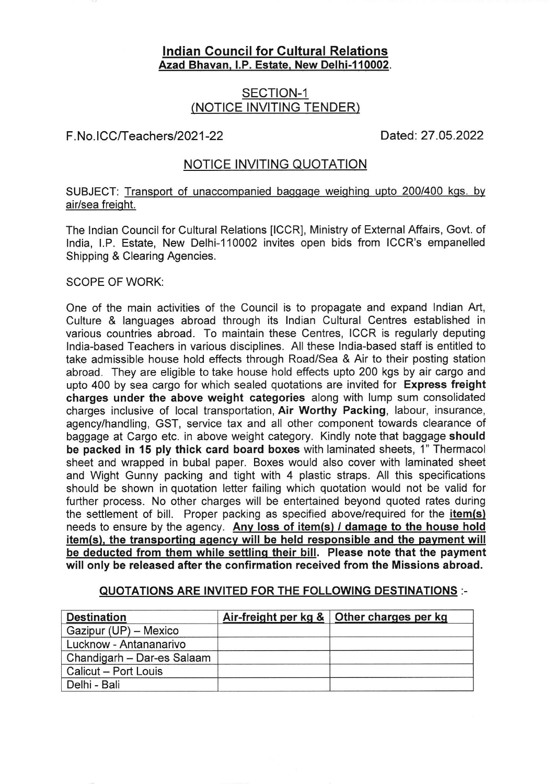## lndian Council for Gultural Relations Azad Bhavan, I.P. Estate, New Delhi-110002.

# SECTION-1 (NOTICE INVITING TENDER)

## F. No. ICC/Teachers/2021-22 Dated: 27.05.2022

## NOTICE INVITING QUOTATION

SUBJECT: Transport of unaccompanied baggage weighing upto 200/400 kgs. by air/sea freight.

The lndian Council for Cultural Relations [CCR], Ministry of External Affairs, Govt. of lndia, LP. Estate, New Delhi-110002 invites open bids from ICCR's empanelled Shipping & Clearing Agencies.

### SCOPE OF WORK:

One of the main activities of the Council is to propagate and expand lndian Art, Culture & languages abroad through its lndian Cultural Centres established in various countries abroad. To maintain these Centres, ICCR is regularly deputing lndia-based Teachers in various disciplines. All these lndia-based staff is entitled to take admissible house hold effects through Road/Sea & Air to their posting station abroad. They are eligible to take house hold effects upto 200 kgs by air cargo and upto 400 by sea cargo for which sealed quotations are invited for Express freight charges under the above weight categories along with lump sum consolidated charges inclusive of local transportation, Air Worthy Packing, labour, insurance, agency/handling, GST, service tax and all other component towards clearance of baggage at Cargo etc. in above weight category. Kindly note that baggage should be packed in 15 ply thick card board boxes with laminated sheets, 1" Thermacol sheet and wrapped in bubal paper. Boxes would also cover with laminated sheet and Wight Gunny packing and tight with 4 plastic straps. All this specifications should be shown in quotation letter failing which quotation would not be valid for further process. No other charges will be entertained beyond quoted rates during the settlement of bill. Proper packing as specified above/required for the *item(s)* needs to ensure by the agency. Any loss of item(s) / damage to the house hold item(s), the transporting agency will be held responsible and the payment will be deducted from them while settlinq their bill. Please note that the payment will only be released after the confirmation received from the Missions abroad.

#### QUOTATIONS ARE INVITED FOR THE FOLLOWING DESTINATIONS :-

| <b>Destination</b>         | Air-freight per $kg &$ Other charges per kg |
|----------------------------|---------------------------------------------|
| Gazipur (UP) - Mexico      |                                             |
| Lucknow - Antananarivo     |                                             |
| Chandigarh - Dar-es Salaam |                                             |
| Calicut - Port Louis       |                                             |
| Delhi - Bali               |                                             |